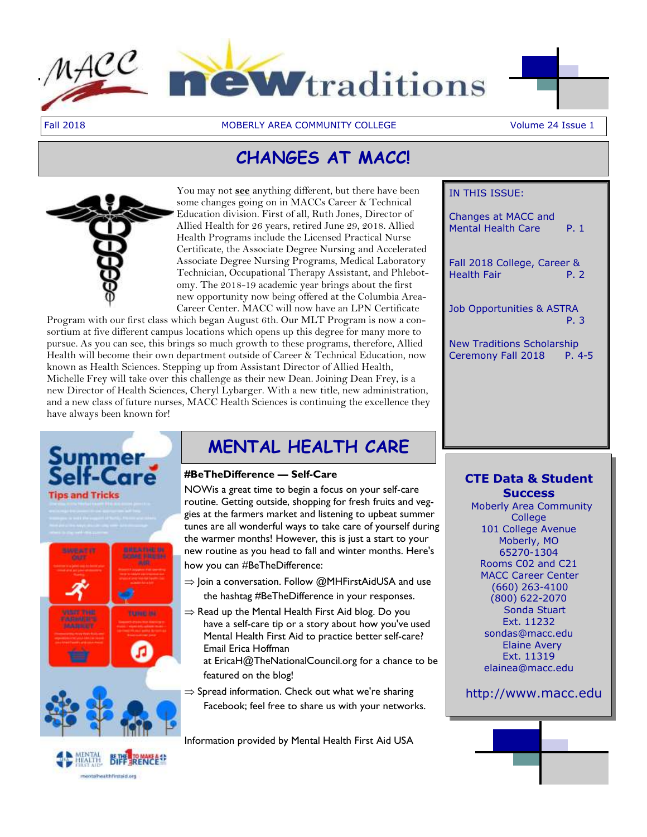



Fall 2018 MOBERLY AREA COMMUNITY COLLEGE Volume 24 Issue 1

# **CHANGES AT MACC!**



You may not **see** anything different, but there have been some changes going on in MACCs Career & Technical Education division. First of all, Ruth Jones, Director of Allied Health for 26 years, retired June 29, 2018. Allied Health Programs include the Licensed Practical Nurse Certificate, the Associate Degree Nursing and Accelerated Associate Degree Nursing Programs, Medical Laboratory Technician, Occupational Therapy Assistant, and Phlebotomy. The 2018-19 academic year brings about the first new opportunity now being offered at the Columbia Area-Career Center. MACC will now have an LPN Certificate

Program with our first class which began August 6th. Our MLT Program is now a consortium at five different campus locations which opens up this degree for many more to pursue. As you can see, this brings so much growth to these programs, therefore, Allied Health will become their own department outside of Career & Technical Education, now known as Health Sciences. Stepping up from Assistant Director of Allied Health, Michelle Frey will take over this challenge as their new Dean. Joining Dean Frey, is a new Director of Health Sciences, Cheryl Lybarger. With a new title, new administration, and a new class of future nurses, MACC Health Sciences is continuing the excellence they have always been known for!



# **MENTAL HEALTH CARE**

### **#BeTheDifference — Self-Care**

NOWis a great time to begin a focus on your self-care routine. Getting outside, shopping for fresh fruits and veggies at the farmers market and listening to upbeat summer tunes are all wonderful ways to take care of yourself during the warmer months! However, this is just a start to your new routine as you head to fall and winter months. Here's how you can #BeTheDifference:

- $\Rightarrow$  Join a conversation. Follow @MHFirstAidUSA and use the hashtag #BeTheDifference in your responses.
- $\Rightarrow$  Read up the Mental Health First Aid blog. Do you have a self-care tip or a story about how you've used Mental Health First Aid to practice better self-care? Email Erica Hoffman
	- at [EricaH@TheNationalCouncil.org f](mailto:EricaH@TheNationalCouncil.org)or a chance to be featured on the blog!
- $\Rightarrow$  Spread information. Check out what we're sharing Facebook; feel free to share us with your networks.

Information provided by Mental Health First Aid USA

# IN THIS ISSUE:

Changes at MACC and Mental Health Care P. 1 Fall 2018 College, Career & Health Fair **P. 2** Job Opportunities & ASTRA P. 3 New Traditions Scholarship Ceremony Fall 2018 P. 4-5

# **CTE Data & Student Success**

Moberly Area Community College 101 College Avenue Moberly, MO 65270-1304 Rooms C02 and C21 MACC Career Center (660) 263-4100 (800) 622-2070 Sonda Stuart Ext. 11232 [sondas@macc.edu](mailto:sondas@macc.edu) Elaine Avery Ext. 11319 [elainea@macc.edu](mailto:elainea@macc.edu)

http://[www.macc.edu](http://www.macc.edu/)

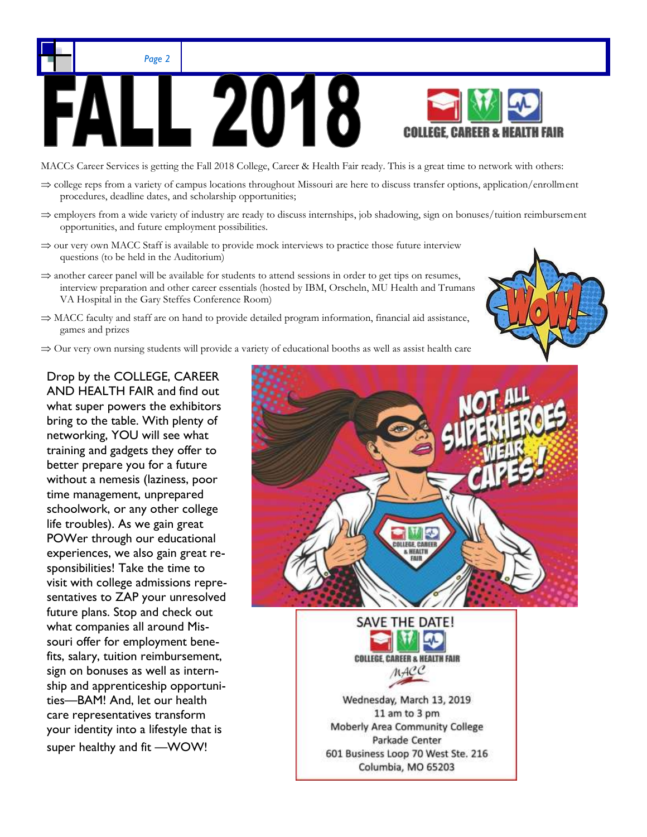



MACCs Career Services is getting the Fall 2018 College, Career & Health Fair ready. This is a great time to network with others:

- $\Rightarrow$  college reps from a variety of campus locations throughout Missouri are here to discuss transfer options, application/enrollment procedures, deadline dates, and scholarship opportunities;
- $\Rightarrow$  employers from a wide variety of industry are ready to discuss internships, job shadowing, sign on bonuses/tuition reimbursement opportunities, and future employment possibilities.
- $\Rightarrow$  our very own MACC Staff is available to provide mock interviews to practice those future interview questions (to be held in the Auditorium)
- $\Rightarrow$  another career panel will be available for students to attend sessions in order to get tips on resumes, interview preparation and other career essentials (hosted by IBM, Orscheln, MU Health and Trumans VA Hospital in the Gary Steffes Conference Room)
- $\Rightarrow$  MACC faculty and staff are on hand to provide detailed program information, financial aid assistance, games and prizes
- $\Rightarrow$  Our very own nursing students will provide a variety of educational booths as well as assist health care

Drop by the COLLEGE, CAREER AND HEALTH FAIR and find out what super powers the exhibitors bring to the table. With plenty of networking, YOU will see what training and gadgets they offer to better prepare you for a future without a nemesis (laziness, poor time management, unprepared schoolwork, or any other college life troubles). As we gain great POWer through our educational experiences, we also gain great responsibilities! Take the time to visit with college admissions representatives to ZAP your unresolved future plans. Stop and check out what companies all around Missouri offer for employment benefits, salary, tuition reimbursement, sign on bonuses as well as internship and apprenticeship opportunities—BAM! And, let our health care representatives transform your identity into a lifestyle that is super healthy and fit —WOW!



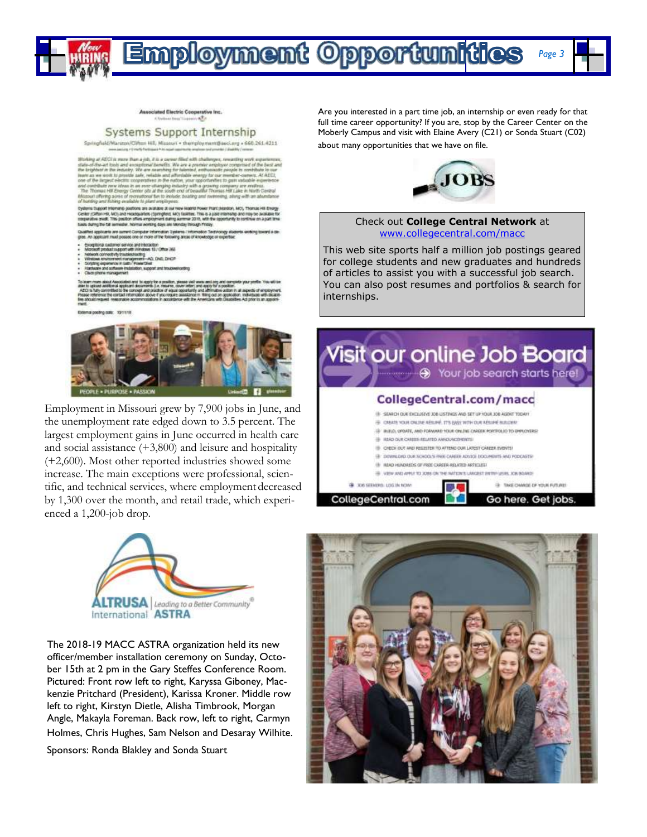

Associated Electric Cooperative Inc. A Torkoat Rear Tracker istis

#### Systems Support Internship

Springfield/Marizon/Clifton Hill, Missouri . themployment@seci.org + 660.261.4211 poses justices if they'll feetback it in actual constructs analyses and provider if their

Working at AECI in more than a girl, if is a curver filled with challenges, rewarding very experience, state-of-free-act book and enoughlored benefits. We are a precisive employer computed of the best and the properties o

Cystems Eugeoit Internanty positions are available at our new Madrid Power Plant (Maletter, MC), Thomas Hill Ensigy<br>Center (Cifforn HB, MC) and Headquarters (Spinghed, MC) fastline, This is a paid internanty and risk to av

Qualified applicants are current Computer Information Systems / Information Techni<br>gree. An applicant must posses one or more of the following areas of knowledge or erts underg toward a ce

- 
- 
- Exceptional customer service and relations<br>to the analysis of the contract product support with relations 10  $\sigma$  Office 363<br>valences correctively transceptors  $\alpha$ <br>valences exceptions in an approach  $-$ 40, OHI, DHCP<br>Scri
- tenerShell<br>Bon, support and troubleshooting

learn mare about Associated and To apply for a position, please indivious aed boy and compete your profile. You will be<br>A to uppose accidental applicant documents (i.e. mesure), cover atteny and application profile and any

Exercispoding sale: 191118



Employment in Missouri grew by 7,900 jobs in June, and the unemployment rate edged down to 3.5 percent. The largest employment gains in June occurred in health care and social assistance (+3,800) and leisure and hospitality (+2,600). Most other reported industries showed some increase. The main exceptions were professional, scientific, and technical services, where employment decreased by 1,300 over the month, and retail trade, which experienced a 1,200-job drop.



The 2018-19 MACC ASTRA organization held its new officer/member installation ceremony on Sunday, October 15th at 2 pm in the Gary Steffes Conference Room. Pictured: Front row left to right, Karyssa Giboney, Mackenzie Pritchard (President), Karissa Kroner. Middle row left to right, Kirstyn Dietle, Alisha Timbrook, Morgan Angle, Makayla Foreman. Back row, left to right, Carmyn Holmes, Chris Hughes, Sam Nelson and Desaray Wilhite.

Sponsors: Ronda Blakley and Sonda Stuart

Are you interested in a part time job, an internship or even ready for that full time career opportunity? If you are, stop by the Career Center on the Moberly Campus and visit with Elaine Avery (C21) or Sonda Stuart (C02) about many opportunities that we have on file.



#### Check out **College Central Network** at [www.collegecentral.com/macc](http://www.collegecentral.com/macc)

This web site sports half a million job postings geared for college students and new graduates and hundreds of articles to assist you with a successful job search. You can also post resumes and portfolios & search for internships.





*Page 3*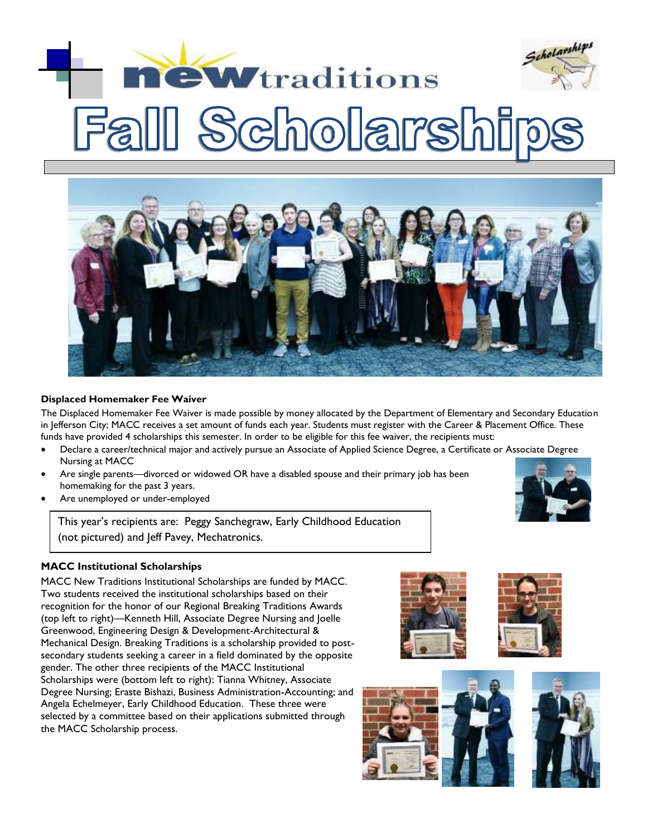# Scholarships *<u>ewtraditions</u>* **olars**



## **Displaced Homemaker Fee Waiver**

The Displaced Homemaker Fee Waiver is made possible by money allocated by the Department of Elementary and Secondary Education in Jefferson City; MACC receives a set amount of funds each year. Students must register with the Career & Placement Office. These funds have provided 4 scholarships this semester. In order to be eligible for this fee waiver, the recipients must:

- Declare a career/technical major and actively pursue an Associate of Applied Science Degree, a Certificate or Associate Degree Nursing at MACC
- Are single parents—divorced or widowed OR have a disabled spouse and their primary job has been homemaking for the past 3 years.
- Are unemployed or under-employed

This year's recipients are: Peggy Sanchegraw, Early Childhood Education (not pictured) and Jeff Pavey, Mechatronics.

# **MACC Institutional Scholarships**

MACC New Traditions Institutional Scholarships are funded by MACC. Two students received the institutional scholarships based on their recognition for the honor of our Regional Breaking Traditions Awards (top left to right)—Kenneth Hill, Associate Degree Nursing and Joelle Greenwood, Engineering Design & Development-Architectural & Mechanical Design. Breaking Traditions is a scholarship provided to postsecondary students seeking a career in a field dominated by the opposite gender. The other three recipients of the MACC Institutional Scholarships were (bottom left to right): Tianna Whitney, Associate Degree Nursing; Eraste Bishazi, Business Administration-Accounting; and Angela Echelmeyer, Early Childhood Education. These three were selected by a committee based on their applications submitted through the MACC Scholarship process.